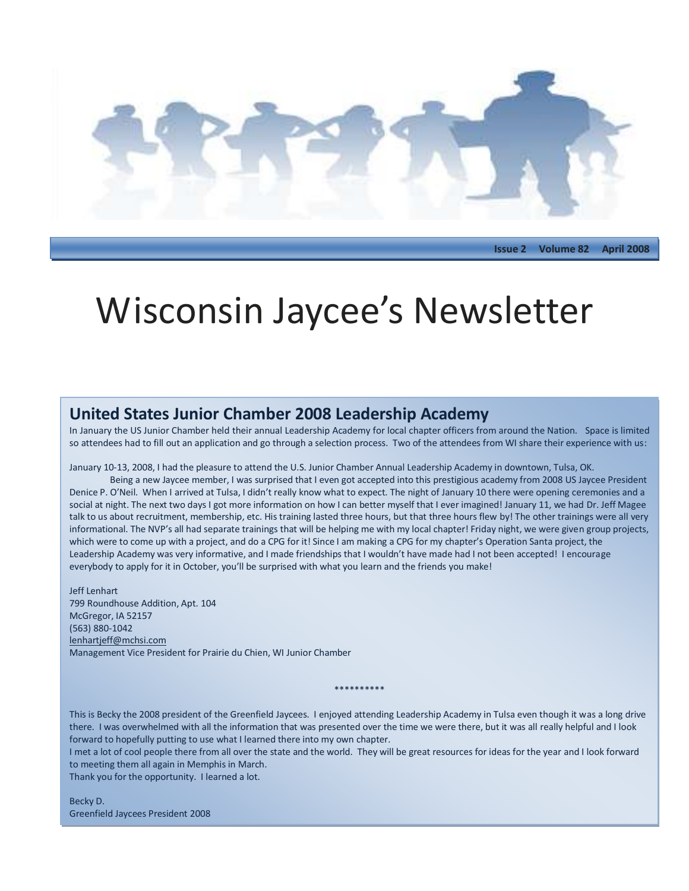

**Issue 2 Volume 82 April 2008**

## Wisconsin Jaycee's Newsletter

#### **United States Junior Chamber 2008 Leadership Academy**

In January the US Junior Chamber held their annual Leadership Academy for local chapter officers from around the Nation. Space is limited so attendees had to fill out an application and go through a selection process. Two of the attendees from WI share their experience with us:

January 10-13, 2008, I had the pleasure to attend the U.S. Junior Chamber Annual Leadership Academy in downtown, Tulsa, OK.

Being a new Jaycee member, I was surprised that I even got accepted into this prestigious academy from 2008 US Jaycee President Denice P. O'Neil. When I arrived at Tulsa, I didn't really know what to expect. The night of January 10 there were opening ceremonies and a social at night. The next two days I got more information on how I can better myself that I ever imagined! January 11, we had Dr. Jeff Magee talk to us about recruitment, membership, etc. His training lasted three hours, but that three hours flew by! The other trainings were all very informational. The NVP's all had separate trainings that will be helping me with my local chapter! Friday night, we were given group projects, which were to come up with a project, and do a CPG for it! Since I am making a CPG for my chapter's Operation Santa project, the Leadership Academy was very informative, and I made friendships that I wouldn't have made had I not been accepted! I encourage everybody to apply for it in October, you'll be surprised with what you learn and the friends you make!

Jeff Lenhart 799 Roundhouse Addition, Apt. 104 McGregor, IA 52157 (563) 880-1042 [lenhartjeff@mchsi.com](mailto:lenhartjeff@mchsi.com) Management Vice President for Prairie du Chien, WI Junior Chamber

This is Becky the 2008 president of the Greenfield Jaycees. I enjoyed attending Leadership Academy in Tulsa even though it was a long drive there. I was overwhelmed with all the information that was presented over the time we were there, but it was all really helpful and I look forward to hopefully putting to use what I learned there into my own chapter.

\*\*\*\*\*\*\*\*\*\*

I met a lot of cool people there from all over the state and the world. They will be great resources for ideas for the year and I look forward to meeting them all again in Memphis in March.

Thank you for the opportunity. I learned a lot.

Becky D. Greenfield Jaycees President 2008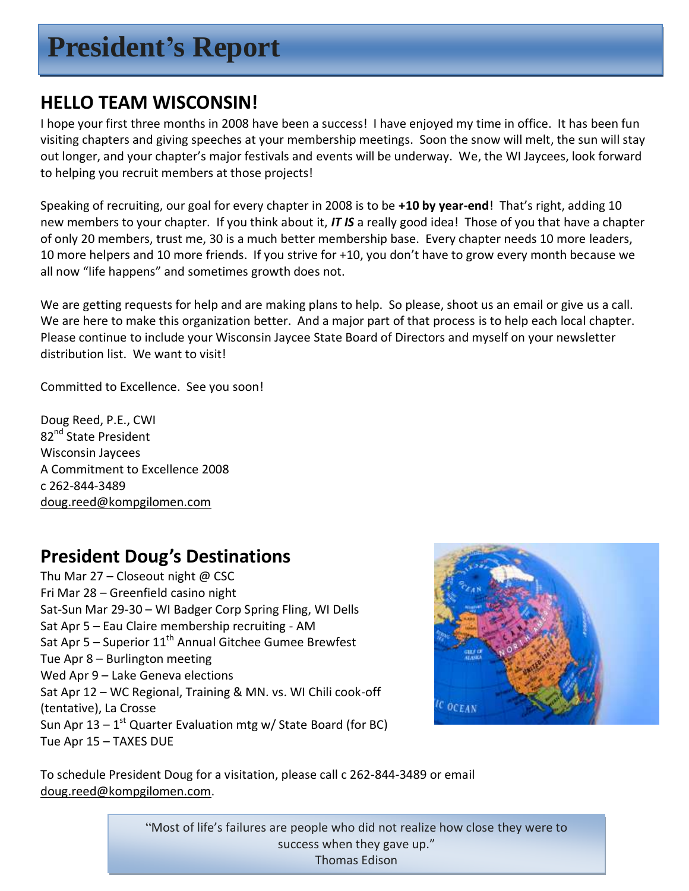## **President's Report**

## **HELLO TEAM WISCONSIN!**

I hope your first three months in 2008 have been a success! I have enjoyed my time in office. It has been fun visiting chapters and giving speeches at your membership meetings. Soon the snow will melt, the sun will stay out longer, and your chapter's major festivals and events will be underway. We, the WI Jaycees, look forward to helping you recruit members at those projects!

Speaking of recruiting, our goal for every chapter in 2008 is to be **+10 by year-end**! That's right, adding 10 new members to your chapter. If you think about it, *IT IS* a really good idea! Those of you that have a chapter of only 20 members, trust me, 30 is a much better membership base. Every chapter needs 10 more leaders, 10 more helpers and 10 more friends. If you strive for +10, you don't have to grow every month because we all now "life happens" and sometimes growth does not.

We are getting requests for help and are making plans to help. So please, shoot us an email or give us a call. We are here to make this organization better. And a major part of that process is to help each local chapter. Please continue to include your Wisconsin Jaycee State Board of Directors and myself on your newsletter distribution list. We want to visit!

Committed to Excellence. See you soon!

Doug Reed, P.E., CWI 82<sup>nd</sup> State President Wisconsin Jaycees A Commitment to Excellence 2008 c 262-844-3489 [doug.reed@kompgilomen.com](mailto:doug.reed@kompgilomen.com)

## **President Doug's Destinations**

Thu Mar  $27$  – Closeout night @ CSC Fri Mar 28 – Greenfield casino night Sat-Sun Mar 29-30 – WI Badger Corp Spring Fling, WI Dells Sat Apr 5 – Eau Claire membership recruiting - AM Sat Apr  $5$  – Superior  $11<sup>th</sup>$  Annual Gitchee Gumee Brewfest Tue Apr 8 – Burlington meeting Wed Apr 9 – Lake Geneva elections Sat Apr 12 – WC Regional, Training & MN. vs. WI Chili cook-off (tentative), La Crosse Sun Apr 13 – 1<sup>st</sup> Quarter Evaluation mtg w/ State Board (for BC) Tue Apr 15 – TAXES DUE



To schedule President Doug for a visitation, please call c 262-844-3489 or email [doug.reed@kompgilomen.com.](mailto:doug.reed@kompgilomen.com)

> "Most of life's failures are people who did not realize how close they were to success when they gave up." Thomas Edison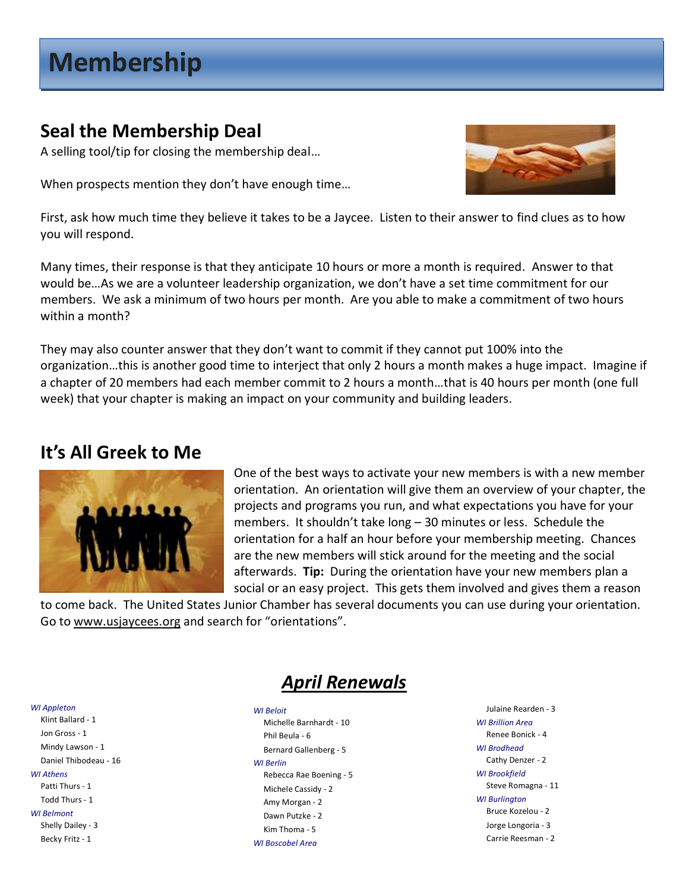## **Membership**

## **Seal the Membership Deal**

A selling tool/tip for closing the membership deal…

When prospects mention they don't have enough time…



First, ask how much time they believe it takes to be a Jaycee. Listen to their answer to find clues as to how you will respond.

Many times, their response is that they anticipate 10 hours or more a month is required. Answer to that would be…As we are a volunteer leadership organization, we don't have a set time commitment for our members. We ask a minimum of two hours per month. Are you able to make a commitment of two hours within a month?

They may also counter answer that they don't want to commit if they cannot put 100% into the organization…this is another good time to interject that only 2 hours a month makes a huge impact. Imagine if a chapter of 20 members had each member commit to 2 hours a month…that is 40 hours per month (one full week) that your chapter is making an impact on your community and building leaders.

## **It's All Greek to Me**



One of the best ways to activate your new members is with a new member orientation. An orientation will give them an overview of your chapter, the projects and programs you run, and what expectations you have for your members. It shouldn't take long – 30 minutes or less. Schedule the orientation for a half an hour before your membership meeting. Chances are the new members will stick around for the meeting and the social afterwards. **Tip:** During the orientation have your new members plan a social or an easy project. This gets them involved and gives them a reason

to come back. The United States Junior Chamber has several documents you can use during your orientation. Go to [www.usjaycees.org](http://www.usjaycees.org/) and search for "orientations".

## *April Renewals*

*WI Appleton* Klint Ballard - 1 Jon Gross - 1 Mindy Lawson - 1 Daniel Thibodeau - 16 *WI Athens* Patti Thurs - 1 Todd Thurs - 1 *WI Belmont* Shelly Dailey - 3 Becky Fritz - 1

*WI Beloit* Michelle Barnhardt - 10 Phil Beula - 6 Bernard Gallenberg - 5 *WI Berlin* Rebecca Rae Boening - 5 Michele Cassidy - 2 Amy Morgan - 2 Dawn Putzke - 2 Kim Thoma - 5 *WI Boscobel Area*

Julaine Rearden - 3 *WI Brillion Area* Renee Bonick - 4 *WI Brodhead* Cathy Denzer - 2 *WI Brookfield* Steve Romagna - 11 *WI Burlington* Bruce Kozelou - 2 Jorge Longoria - 3 Carrie Reesman - 2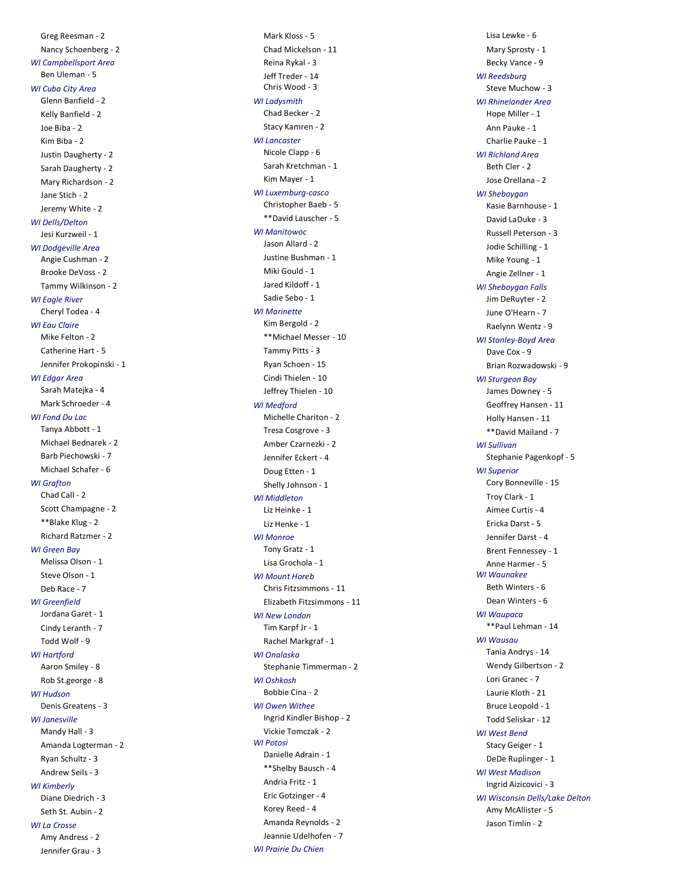Greg Reesman - 2 Nancy Schoenberg - 2 *WI Campbellsport Area* Ben Uleman - 5 *WI Cuba City Area* Glenn Banfield - 2 Kelly Banfield - 2 Joe Biba - 2 Kim Biba - 2 Justin Daugherty - 2 Sarah Daugherty - 2 Mary Richardson - 2 Jane Stich - 2 Jeremy White - 2 *WI Dells/Delton* Jesi Kurzweil - 1 *WI Dodgeville Area* Angie Cushman - 2 Brooke DeVoss - 2 Tammy Wilkinson - 2 *WI Eagle River* Cheryl Todea - 4 *WI Eau Claire* Mike Felton - 2 Catherine Hart - 5 Jennifer Prokopinski - 1 *WI Edgar Area* Sarah Matejka - 4 Mark Schroeder - 4 *WI Fond Du Lac* Tanya Abbott - 1 Michael Bednarek - 2 Barb Piechowski - 7 Michael Schafer - 6 *WI Grafton* Chad Call - 2 Scott Champagne - 2 \*\*Blake Klug - 2 Richard Ratzmer - 2 *WI Green Bay* Melissa Olson - 1 Steve Olson - 1 Deb Race - 7 *WI Greenfield* Jordana Garet - 1 Cindy Leranth - 7 Todd Wolf - 9 *WI Hartford* Aaron Smiley - 8 Rob St.george - 8 *WI Hudson* Denis Greatens - 3 *WI Janesville* Mandy Hall - 3 Amanda Logterman - 2 Ryan Schultz - 3 Andrew Seils - 3 *WI Kimberly* Diane Diedrich - 3 Seth St. Aubin - 2 *WI La Crosse* Amy Andress - 2

Jennifer Grau - 3

Mark Kloss - 5 Chad Mickelson - 11 Reina Rykal - 3 Jeff Treder - 14 Chris Wood - 3 *WI Ladysmith* Chad Becker - 2 Stacy Kamren - 2 *WI Lancaster* Nicole Clapp - 6 Sarah Kretchman - 1 Kim Mayer - 1 *WI Luxemburg -casco* Christopher Baeb - 5 \*\*David Lauscher - 5 *WI Manitowoc* Jason Allard - 2 Justine Bushman - 1 Miki Gould - 1 Jared Kildoff - 1 Sadie Sebo - 1 *WI Marinette* Kim Bergold - 2 \*\*Michael Messer - 10 Tammy Pitts - 3 Ryan Schoen - 15 Cindi Thielen - 10 Jeffrey Thielen - 10 *WI Medford* Michelle Chariton - 2 Tresa Cosgrove - 3 Amber Czarnezki - 2 Jennifer Eckert - 4 Doug Etten - 1 Shelly Johnson - 1 *WI Middleton* Liz Heinke - 1 Liz Henke - 1 *WI Monroe* Tony Gratz - 1 Lisa Grochola - 1 *WI Mount Horeb* Chris Fitzsimmons - 11 Elizabeth Fitzsimmons - 11 *WI New London* Tim Karpf Jr - 1 Rachel Markgraf - 1 *WI Onalaska* Stephanie Timmerman - 2 *WI Oshkosh* Bobbie Cina - 2 *WI Owen Withee* Ingrid Kindler Bishop - 2 Vickie Tomczak - 2 *WI Potosi* Danielle Adrain - 1 \*\*Shelby Bausch - 4 Andria Fritz - 1 Eric Gotzinger - 4 Korey Reed - 4 Amanda Reynolds - 2 Jeannie Udelhofen - 7 *WI Prairie Du Chien*

Lisa Lewke - 6 Mary Sprosty - 1 Becky Vance - 9 *WI Reedsburg* Steve Muchow - 3 *WI Rhinelander Area* Hope Miller - 1 Ann Pauke - 1 Charlie Pauke - 1 *WI Richland Area* Beth Cler - 2 Jose Orellana - 2 *WI Sheboygan* Kasie Barnhouse - 1 David LaDuke - 3 Russell Peterson - 3 Jodie Schilling - 1 Mike Young - 1 Angie Zellner - 1 *WI Sheboygan Falls* Jim DeRuyter - 2 June O'Hearn - 7 Raelynn Wentz - 9 *WI Stanley -Boyd Area* Dave Cox - 9 Brian Rozwadowski - 9 *WI Sturgeon Bay* James Downey - 5 Geoffrey Hansen - 11 Holly Hansen - 11 \*\*David Mailand - 7 *WI Sullivan* Stephanie Pagenkopf - 5 *WI Superior* Cory Bonneville - 15 Troy Clark - 1 Aimee Curtis - 4 Ericka Darst - 5 Jennifer Darst - 4 Brent Fennessey - 1 Anne Harmer - 5 *WI Waunakee* Beth Winters - 6 Dean Winters - 6 *WI Waupaca* \*\*Paul Lehman - 14 *WI Wausau* Tania Andrys - 14 Wendy Gilbertson - 2 Lori Granec - 7 Laurie Kloth - 21 Bruce Leopold - 1 Todd Seliskar - 12 *WI West Bend* Stacy Geiger - 1 DeDe Ruplinger - 1 *WI West Madison* Ingrid Aizicovici - 3 *WI Wisconsin Dells/Lake Delton* Amy McAllister - 5

Jason Timlin - 2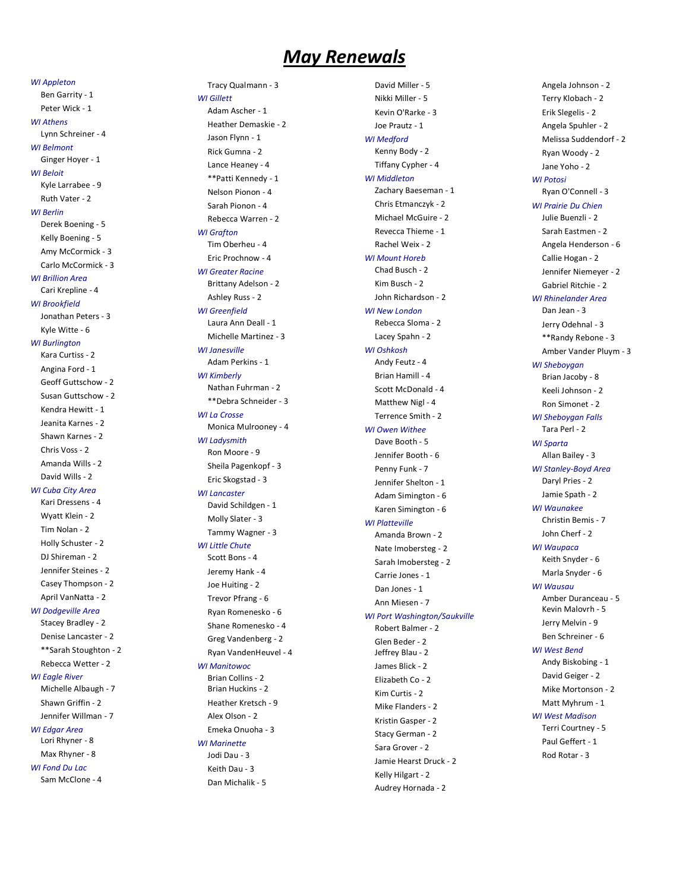### *May Renewals*

*WI Appleton*

Ben Garrity - 1 Peter Wick - 1 *WI Athens* Lynn Schreiner - 4 *WI Belmont* Ginger Hoyer - 1 *WI Beloit* Kyle Larrabee - 9 Ruth Vater - 2 *WI Berlin* Derek Boening - 5 Kelly Boening - 5 Amy McCormick - 3 Carlo McCormick - 3 *WI Brillion Area* Cari Krepline - 4 *WI Brookfield* Jonathan Peters - 3 Kyle Witte - 6 *WI Burlington* Kara Curtiss - 2 Angina Ford - 1 Geoff Guttschow - 2 Susan Guttschow - 2 Kendra Hewitt - 1 Jeanita Karnes - 2 Shawn Karnes - 2 Chris Voss - 2 Amanda Wills - 2 David Wills - 2 *WI Cuba City Area* Kari Dressens - 4 Wyatt Klein - 2 Tim Nolan - 2 Holly Schuster - 2 DJ Shireman - 2 Jennifer Steines - 2 Casey Thompson - 2 April VanNatta - 2 *WI Dodgeville Area* Stacey Bradley - 2 Denise Lancaster - 2 \*\*Sarah Stoughton - 2 Rebecca Wetter - 2 *WI Eagle River* Michelle Albaugh - 7 Shawn Griffin - 2 Jennifer Willman - 7 *WI Edgar Area* Lori Rhyner - 8 Max Rhyner - 8

*WI Fond Du Lac* Sam McClone - 4

*WI Gillett*

Tracy Qualmann - 3 Adam Ascher - 1 Heather Demaskie - 2 Jason Flynn - 1 Rick Gumna - 2 Lance Heaney - 4 \*\*Patti Kennedy - 1 Nelson Pionon - 4 Sarah Pionon - 4 Rebecca Warren - 2 *WI Grafton* Tim Oberheu - 4 Eric Prochnow - 4 *WI Greater Racine* Brittany Adelson - 2 Ashley Russ - 2 *WI Greenfield* Laura Ann Deall - 1 Michelle Martinez - 3 *WI Janesville* Adam Perkins - 1 *WI Kimberly* Nathan Fuhrman - 2 \*\*Debra Schneider - 3 *WI La Crosse* Monica Mulrooney - 4 *WI Ladysmith* Ron Moore - 9 Sheila Pagenkopf - 3 Eric Skogstad - 3 *WI Lancaster* David Schildgen - 1 Molly Slater - 3 Tammy Wagner - 3 *WI Little Chute* Scott Bons - 4 Jeremy Hank - 4 Joe Huiting - 2 Trevor Pfrang - 6 Ryan Romenesko - 6 Shane Romenesko - 4 Greg Vandenberg - 2 Ryan VandenHeuvel - 4 *WI Manitowoc* Brian Collins - 2 Brian Huckins - 2 Heather Kretsch - 9 Alex Olson - 2 Emeka Onuoha - 3 *WI Marinette*

Jodi Dau - 3 Keith Dau - 3 Dan Michalik - 5

David Miller - 5 Nikki Miller - 5 Kevin O'Rarke - 3 Joe Prautz - 1 *WI Medford* Kenny Body - 2 Tiffany Cypher - 4 *WI Middleton* Zachary Baeseman - 1 Chris Etmanczyk - 2 Michael McGuire - 2 Revecca Thieme - 1 Rachel Weix - 2 *WI Mount Horeb* Chad Busch - 2 Kim Busch - 2 John Richardson - 2 *WI New London* Rebecca Sloma - 2 Lacey Spahn - 2 *WI Oshkosh* Andy Feutz - 4 Brian Hamill - 4 Scott McDonald - 4 Matthew Nigl - 4 Terrence Smith - 2 *WI Owen Withee* Dave Booth - 5 Jennifer Booth - 6 Penny Funk - 7 Jennifer Shelton - 1 Adam Simington - 6 Karen Simington - 6 *WI Platteville* Amanda Brown - 2 Nate Imobersteg - 2 Sarah Imobersteg - 2 Carrie Jones - 1 Dan Jones - 1 Ann Miesen - 7 *WI Port Washington/Saukville* Robert Balmer - 2 Glen Beder - 2 Jeffrey Blau - 2 James Blick - 2 Elizabeth Co - 2 Kim Curtis - 2 Mike Flanders - 2 Kristin Gasper - 2 Stacy German - 2 Sara Grover - 2 Jamie Hearst Druck - 2 Kelly Hilgart - 2

Audrey Hornada - 2

Angela Johnson - 2 Terry Klobach - 2 Erik Slegelis - 2 Angela Spuhler - 2 Melissa Suddendorf - 2 Ryan Woody - 2 Jane Yoho - 2 *WI Potosi* Ryan O'Connell - 3 *WI Prairie Du Chien* Julie Buenzli - 2 Sarah Eastmen - 2 Angela Henderson - 6 Callie Hogan - 2 Jennifer Niemeyer - 2 Gabriel Ritchie - 2 *WI Rhinelander Area* Dan Jean - 3 Jerry Odehnal - 3 \*\*Randy Rebone - 3 Amber Vander Pluym - 3 *WI Sheboygan* Brian Jacoby - 8 Keeli Johnson - 2 Ron Simonet - 2 *WI Sheboygan Falls* Tara Perl - 2 *WI Sparta* Allan Bailey - 3 *WI Stanley -Boyd Area* Daryl Pries - 2 Jamie Spath - 2 *WI Waunakee* Christin Bemis - 7 John Cherf - 2 *WI Waupaca* Keith Snyder - 6 Marla Snyder - 6 *WI Wausau* Amber Duranceau - 5 Kevin Malovrh - 5 Jerry Melvin - 9 Ben Schreiner - 6 *WI West Bend* Andy Biskobing - 1 David Geiger - 2 Mike Mortonson - 2 Matt Myhrum - 1 *WI West Madison* Terri Courtney - 5 Paul Geffert - 1 Rod Rotar - 3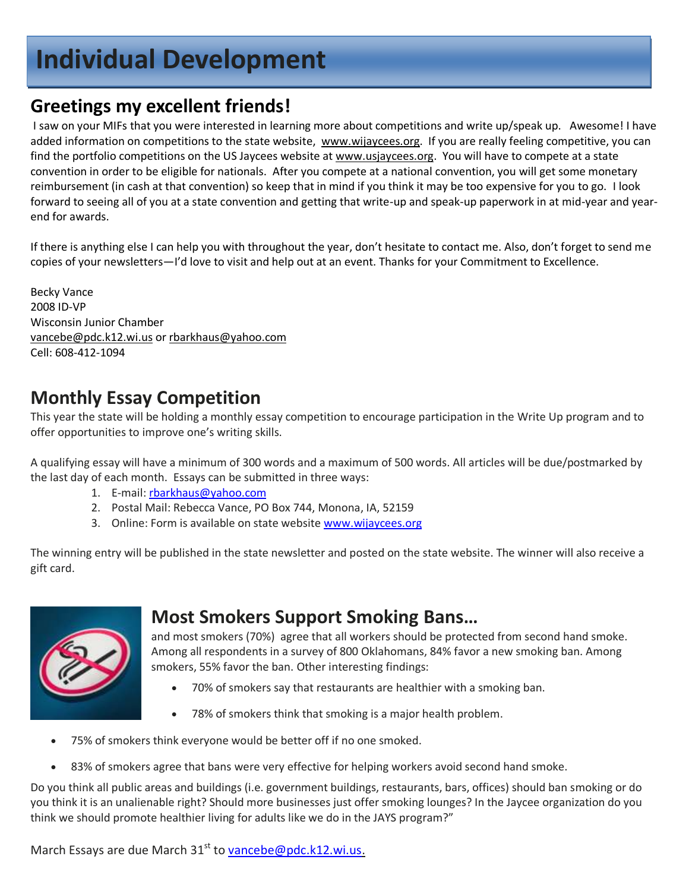## **Individual Development**

## **Greetings my excellent friends!**

I saw on your MIFs that you were interested in learning more about competitions and write up/speak up. Awesome! I have added information on competitions to the state website, [www.wijaycees.org.](http://www.wijaycees.org/) If you are really feeling competitive, you can find the portfolio competitions on the US Jaycees website at [www.usjaycees.org.](http://www.usjaycees.org/) You will have to compete at a state convention in order to be eligible for nationals. After you compete at a national convention, you will get some monetary reimbursement (in cash at that convention) so keep that in mind if you think it may be too expensive for you to go. I look forward to seeing all of you at a state convention and getting that write-up and speak-up paperwork in at mid-year and yearend for awards.

If there is anything else I can help you with throughout the year, don't hesitate to contact me. Also, don't forget to send me copies of your newsletters—I'd love to visit and help out at an event. Thanks for your Commitment to Excellence.

Becky Vance 2008 ID-VP Wisconsin Junior Chamber [vancebe@pdc.k12.wi.us](mailto:vancebe@pdc.k12.wi.us) or [rbarkhaus@yahoo.com](mailto:rbarkhaus@yahoo.com) Cell: 608-412-1094

## **Monthly Essay Competition**

This year the state will be holding a monthly essay competition to encourage participation in the Write Up program and to offer opportunities to improve one's writing skills.

A qualifying essay will have a minimum of 300 words and a maximum of 500 words. All articles will be due/postmarked by the last day of each month. Essays can be submitted in three ways:

- 1. E-mail[: rbarkhaus@yahoo.com](mailto:rbarkhaus@yahoo.com)
- 2. Postal Mail: Rebecca Vance, PO Box 744, Monona, IA, 52159
- 3. Online: Form is available on state websit[e www.wijaycees.org](http://www.wijaycees.org/)

The winning entry will be published in the state newsletter and posted on the state website. The winner will also receive a gift card.



## **Most Smokers Support Smoking Bans…**

and most smokers (70%) agree that all workers should be protected from second hand smoke. Among all respondents in a survey of 800 Oklahomans, 84% favor a new smoking ban. Among smokers, 55% favor the ban. Other interesting findings:

- 70% of smokers say that restaurants are healthier with a smoking ban.
- 78% of smokers think that smoking is a major health problem.
- 75% of smokers think everyone would be better off if no one smoked.
- 83% of smokers agree that bans were very effective for helping workers avoid second hand smoke.

Do you think all public areas and buildings (i.e. government buildings, restaurants, bars, offices) should ban smoking or do you think it is an unalienable right? Should more businesses just offer smoking lounges? In the Jaycee organization do you think we should promote healthier living for adults like we do in the JAYS program?"

March Essays are due March 31<sup>st</sup> to **vancebe@pdc.k12.wi.us.**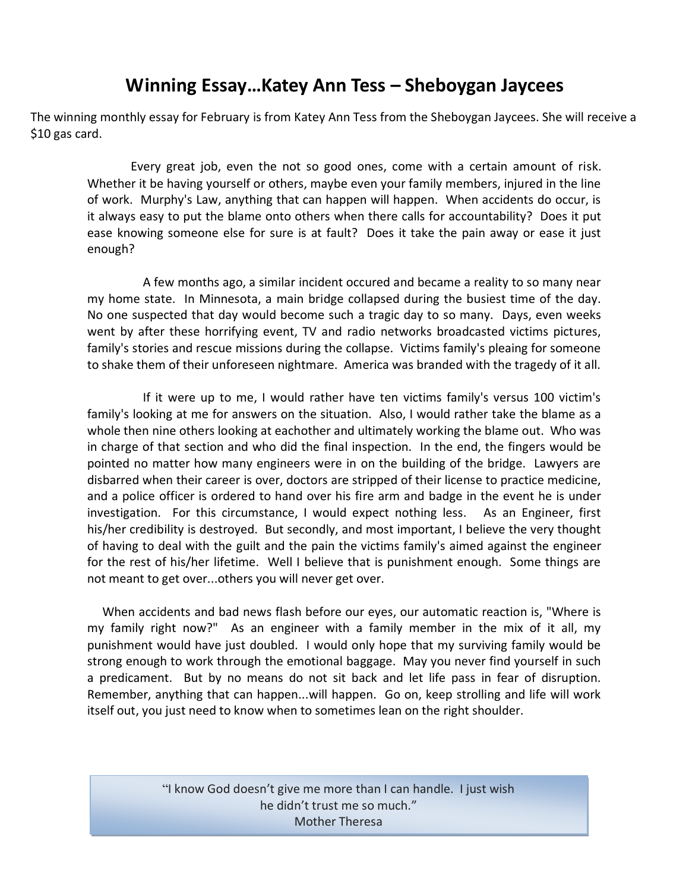### **Winning Essay…Katey Ann Tess – Sheboygan Jaycees**

The winning monthly essay for February is from Katey Ann Tess from the Sheboygan Jaycees. She will receive a \$10 gas card.

Every great job, even the not so good ones, come with a certain amount of risk. Whether it be having yourself or others, maybe even your family members, injured in the line of work. Murphy's Law, anything that can happen will happen. When accidents do occur, is it always easy to put the blame onto others when there calls for accountability? Does it put ease knowing someone else for sure is at fault? Does it take the pain away or ease it just enough?

 A few months ago, a similar incident occured and became a reality to so many near my home state. In Minnesota, a main bridge collapsed during the busiest time of the day. No one suspected that day would become such a tragic day to so many. Days, even weeks went by after these horrifying event, TV and radio networks broadcasted victims pictures, family's stories and rescue missions during the collapse. Victims family's pleaing for someone to shake them of their unforeseen nightmare. America was branded with the tragedy of it all.

 If it were up to me, I would rather have ten victims family's versus 100 victim's family's looking at me for answers on the situation. Also, I would rather take the blame as a whole then nine others looking at eachother and ultimately working the blame out. Who was in charge of that section and who did the final inspection. In the end, the fingers would be pointed no matter how many engineers were in on the building of the bridge. Lawyers are disbarred when their career is over, doctors are stripped of their license to practice medicine, and a police officer is ordered to hand over his fire arm and badge in the event he is under investigation. For this circumstance, I would expect nothing less. As an Engineer, first his/her credibility is destroyed. But secondly, and most important, I believe the very thought of having to deal with the guilt and the pain the victims family's aimed against the engineer for the rest of his/her lifetime. Well I believe that is punishment enough. Some things are not meant to get over...others you will never get over.

 When accidents and bad news flash before our eyes, our automatic reaction is, "Where is my family right now?" As an engineer with a family member in the mix of it all, my punishment would have just doubled. I would only hope that my surviving family would be strong enough to work through the emotional baggage. May you never find yourself in such a predicament. But by no means do not sit back and let life pass in fear of disruption. Remember, anything that can happen...will happen. Go on, keep strolling and life will work itself out, you just need to know when to sometimes lean on the right shoulder.

> "I know God doesn't give me more than I can handle. I just wish he didn't trust me so much." Mother Theresa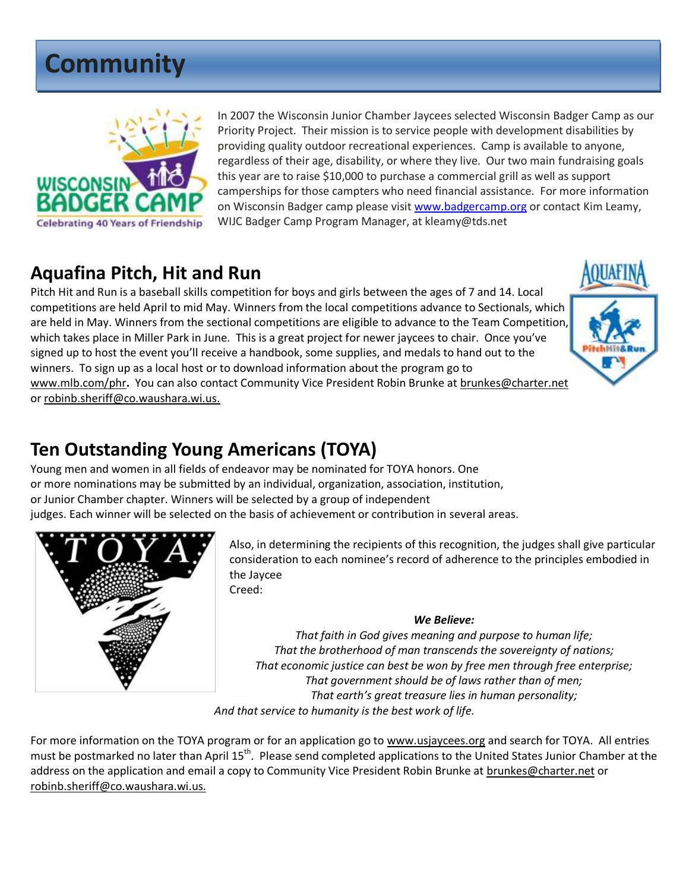## **Community**



In 2007 the Wisconsin Junior Chamber Jaycees selected Wisconsin Badger Camp as our Priority Project. Their mission is to service people with development disabilities by providing quality outdoor recreational experiences. Camp is available to anyone, regardless of their age, disability, or where they live. Our two main fundraising goals this year are to raise \$10,000 to purchase a commercial grill as well as support camperships for those campters who need financial assistance. For more information on Wisconsin Badger camp please visit [www.badgercamp.org](http://www.badgercamp.org/) or contact Kim Leamy, WIJC Badger Camp Program Manager, at kleamy@tds.net

## **Aquafina Pitch, Hit and Run**

Pitch Hit and Run is a baseball skills competition for boys and girls between the ages of 7 and 14. Local competitions are held April to mid May. Winners from the local competitions advance to Sectionals, which are held in May. Winners from the sectional competitions are eligible to advance to the Team Competition, which takes place in Miller Park in June. This is a great project for newer jaycees to chair. Once you've signed up to host the event you'll receive a handbook, some supplies, and medals to hand out to the winners. To sign up as a local host or to download information about the program go to [www.mlb.com/phr](http://www.mlb.com/phr)**.** You can also contact Community Vice President Robin Brunke at [brunkes@charter.net](mailto:brunkes@charter.net) or [robinb.sheriff@co.waushara.wi.us.](mailto:robinb.sheriff@co.waushara.wi.us)



## **Ten Outstanding Young Americans (TOYA)**

Young men and women in all fields of endeavor may be nominated for TOYA honors. One or more nominations may be submitted by an individual, organization, association, institution, or Junior Chamber chapter. Winners will be selected by a group of independent judges. Each winner will be selected on the basis of achievement or contribution in several areas.



Also, in determining the recipients of this recognition, the judges shall give particular consideration to each nominee's record of adherence to the principles embodied in the Jaycee Creed:

#### *We Believe:*

*That faith in God gives meaning and purpose to human life; That the brotherhood of man transcends the sovereignty of nations; That economic justice can best be won by free men through free enterprise; That government should be of laws rather than of men; That earth's great treasure lies in human personality; And that service to humanity is the best work of life.*

For more information on the TOYA program or for an application go to [www.usjaycees.org](http://www.usjaycees.org/) and search for TOYA. All entries must be postmarked no later than April 15<sup>th</sup>. Please send completed applications to the United States Junior Chamber at the address on the application and email a copy to Community Vice President Robin Brunke at [brunkes@charter.net](mailto:brunkes@charter.net) or [robinb.sheriff@co.waushara.wi.us.](mailto:robinb.sheriff@co.waushara.wi.us)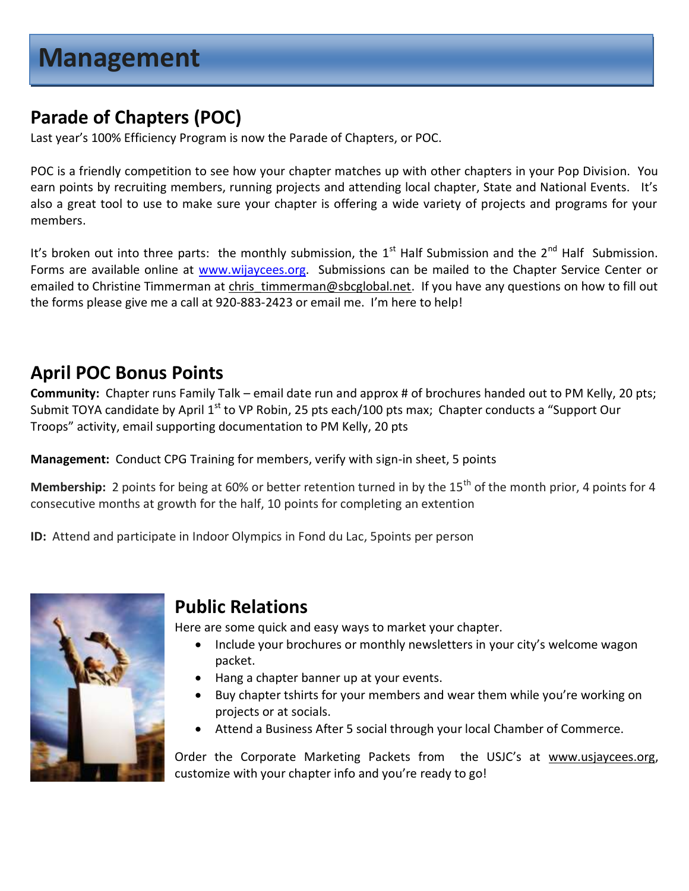## **Parade of Chapters (POC)**

Last year's 100% Efficiency Program is now the Parade of Chapters, or POC.

POC is a friendly competition to see how your chapter matches up with other chapters in your Pop Division. You earn points by recruiting members, running projects and attending local chapter, State and National Events. It's also a great tool to use to make sure your chapter is offering a wide variety of projects and programs for your members.

It's broken out into three parts: the monthly submission, the  $1^{st}$  Half Submission and the  $2^{nd}$  Half Submission. Forms are available online at [www.wijaycees.org.](http://www.wijaycees.org/) Submissions can be mailed to the Chapter Service Center or emailed to Christine Timmerman at chris timmerman@sbcglobal.net. If you have any questions on how to fill out the forms please give me a call at 920-883-2423 or email me. I'm here to help!

## **April POC Bonus Points**

**Community:** Chapter runs Family Talk – email date run and approx # of brochures handed out to PM Kelly, 20 pts; Submit TOYA candidate by April  $1<sup>st</sup>$  to VP Robin, 25 pts each/100 pts max; Chapter conducts a "Support Our Troops" activity, email supporting documentation to PM Kelly, 20 pts

**Management:** Conduct CPG Training for members, verify with sign-in sheet, 5 points

**Membership:** 2 points for being at 60% or better retention turned in by the 15<sup>th</sup> of the month prior, 4 points for 4 consecutive months at growth for the half, 10 points for completing an extention

**ID:** Attend and participate in Indoor Olympics in Fond du Lac, 5points per person



### **Public Relations**

Here are some quick and easy ways to market your chapter.

- Include your brochures or monthly newsletters in your city's welcome wagon packet.
- Hang a chapter banner up at your events.
- Buy chapter tshirts for your members and wear them while you're working on projects or at socials.
- Attend a Business After 5 social through your local Chamber of Commerce.

Order the Corporate Marketing Packets from the USJC's at [www.usjaycees.org,](http://www.usjaycees.org/) customize with your chapter info and you're ready to go!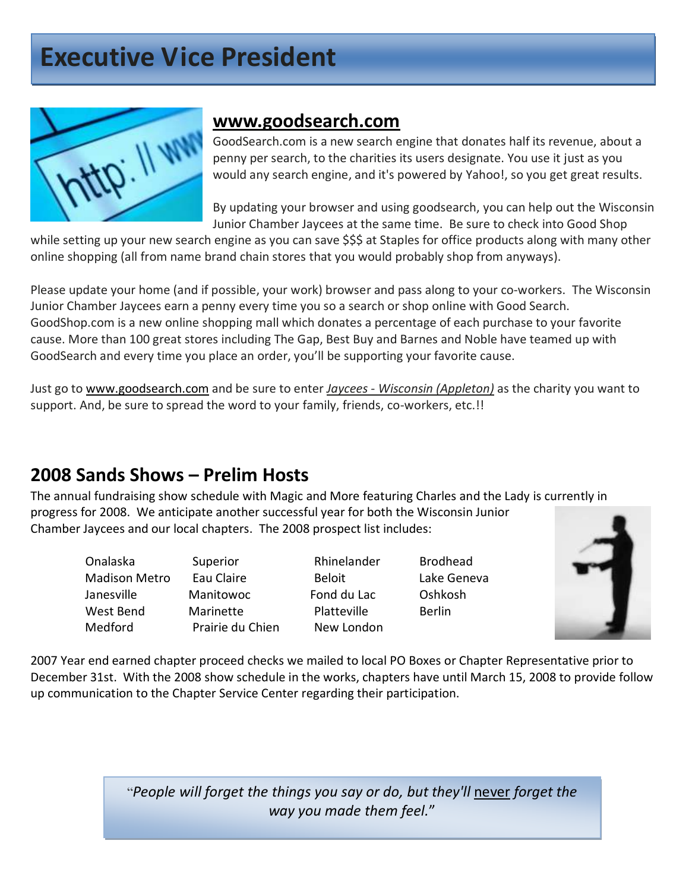## **Executive Vice President**



### **[www.goodsearch.com](http://www.goodsearch.com/)**

GoodSearch.com is a new search engine that donates half its revenue, about a penny per search, to the charities its users designate. You use it just as you would any search engine, and it's powered by Yahoo!, so you get great results.

By updating your browser and using goodsearch, you can help out the Wisconsin Junior Chamber Jaycees at the same time. Be sure to check into Good Shop

while setting up your new search engine as you can save \$\$\$ at Staples for office products along with many other online shopping (all from name brand chain stores that you would probably shop from anyways).

Please update your home (and if possible, your work) browser and pass along to your co-workers. The Wisconsin Junior Chamber Jaycees earn a penny every time you so a search or shop online with Good Search. GoodShop.com is a new online shopping mall which donates a percentage of each purchase to your favorite cause. More than 100 great stores including The Gap, Best Buy and Barnes and Noble have teamed up with GoodSearch and every time you place an order, you'll be supporting your favorite cause.

Just go to [www.goodsearch.com](http://www.goodsearch.com/) and be sure to enter *Jaycees - Wisconsin (Appleton)* as the charity you want to support. And, be sure to spread the word to your family, friends, co-workers, etc.!!

## **2008 Sands Shows – Prelim Hosts**

The annual fundraising show schedule with Magic and More featuring Charles and the Lady is currently in progress for 2008. We anticipate another successful year for both the Wisconsin Junior Chamber Jaycees and our local chapters. The 2008 prospect list includes:

Onalaska Superior Rhinelander Brodhead

 Madison Metro Eau Claire Beloit Lake Geneva Janesville Manitowoc Fond du Lac Oshkosh West Bend Marinette Platteville Berlin Medford Prairie du Chien New London



2007 Year end earned chapter proceed checks we mailed to local PO Boxes or Chapter Representative prior to December 31st. With the 2008 show schedule in the works, chapters have until March 15, 2008 to provide follow up communication to the Chapter Service Center regarding their participation.

> "*People will forget the things you say or do, but they'll* never *forget the way you made them feel.*"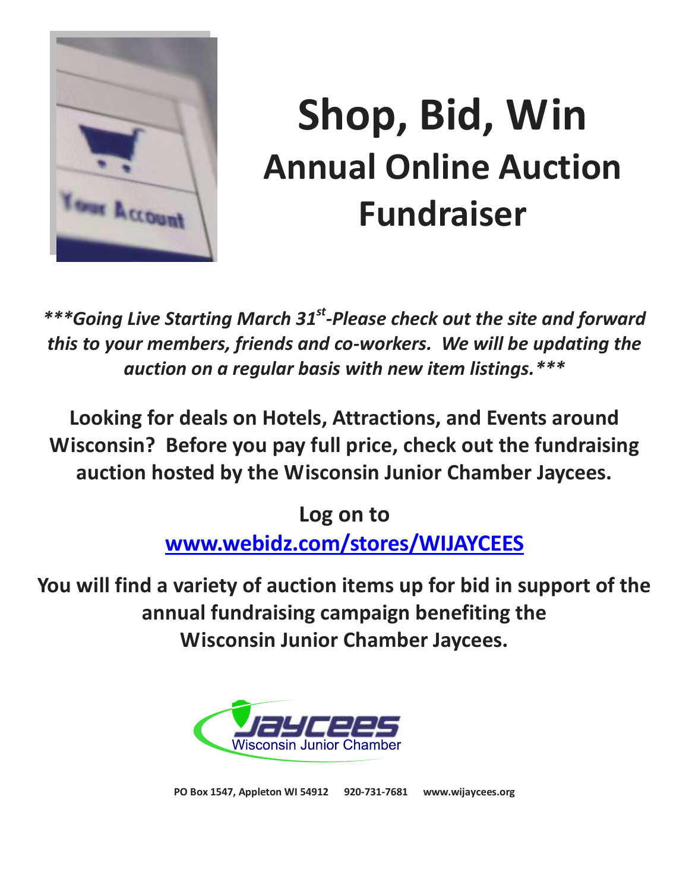

# **Shop, Bid, Win Annual Online Auction Fundraiser**

\*\*\*Going Live Starting March 31<sup>st</sup>-Please check out the site and forward *this to your members, friends and co-workers. We will be updating the auction on a regular basis with new item listings.\*\*\**

**Looking for deals on Hotels, Attractions, and Events around Wisconsin? Before you pay full price, check out the fundraising auction hosted by the Wisconsin Junior Chamber Jaycees.**

> **Log on to [www.webidz.com/stores/WIJAYCEES](http://www.webidz.com/stores/WIJAYCEES)**

**You will find a variety of auction items up for bid in support of the annual fundraising campaign benefiting the Wisconsin Junior Chamber Jaycees.**



**PO Box 1547, Appleton WI 54912 920-731-7681 www.wijaycees.org**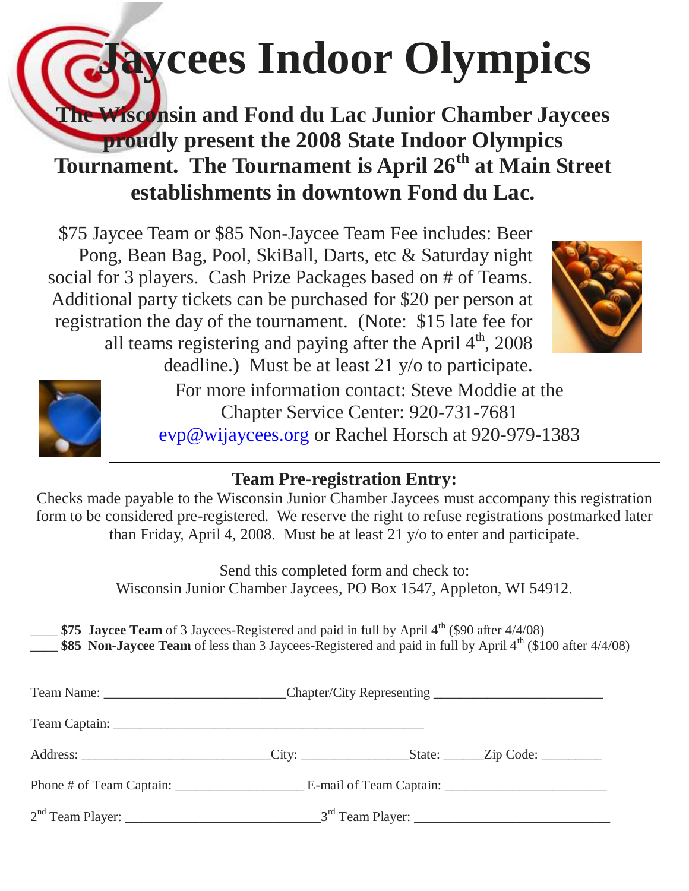## **Jaycees Indoor Olympics**

## **The Wisconsin and Fond du Lac Junior Chamber Jaycees proudly present the 2008 State Indoor Olympics Tournament. The Tournament is April 26th at Main Street establishments in downtown Fond du Lac.**

\$75 Jaycee Team or \$85 Non-Jaycee Team Fee includes: Beer Pong, Bean Bag, Pool, SkiBall, Darts, etc & Saturday night social for 3 players. Cash Prize Packages based on # of Teams. Additional party tickets can be purchased for \$20 per person at registration the day of the tournament. (Note: \$15 late fee for all teams registering and paying after the April  $4<sup>th</sup>$ , 2008 deadline.) Must be at least 21 y/o to participate.





For more information contact: Steve Moddie at the Chapter Service Center: 920-731-7681 [evp@wijaycees.org](mailto:evp@wijaycees.org) or Rachel Horsch at 920-979-1383

## **Team Pre-registration Entry:**

Checks made payable to the Wisconsin Junior Chamber Jaycees must accompany this registration form to be considered pre-registered. We reserve the right to refuse registrations postmarked later than Friday, April 4, 2008. Must be at least 21 y/o to enter and participate.

> Send this completed form and check to: Wisconsin Junior Chamber Jaycees, PO Box 1547, Appleton, WI 54912.

**\$75 Jaycee Team** of 3 Jaycees-Registered and paid in full by April 4<sup>th</sup> (\$90 after 4/4/08)

**\$85 Non-Jaycee Team** of less than 3 Jaycees-Registered and paid in full by April 4<sup>th</sup> (\$100 after 4/4/08)

| Team Name: ________________________________Chapter/City Representing _______________________________ |  |  |
|------------------------------------------------------------------------------------------------------|--|--|
|                                                                                                      |  |  |
|                                                                                                      |  |  |
|                                                                                                      |  |  |
|                                                                                                      |  |  |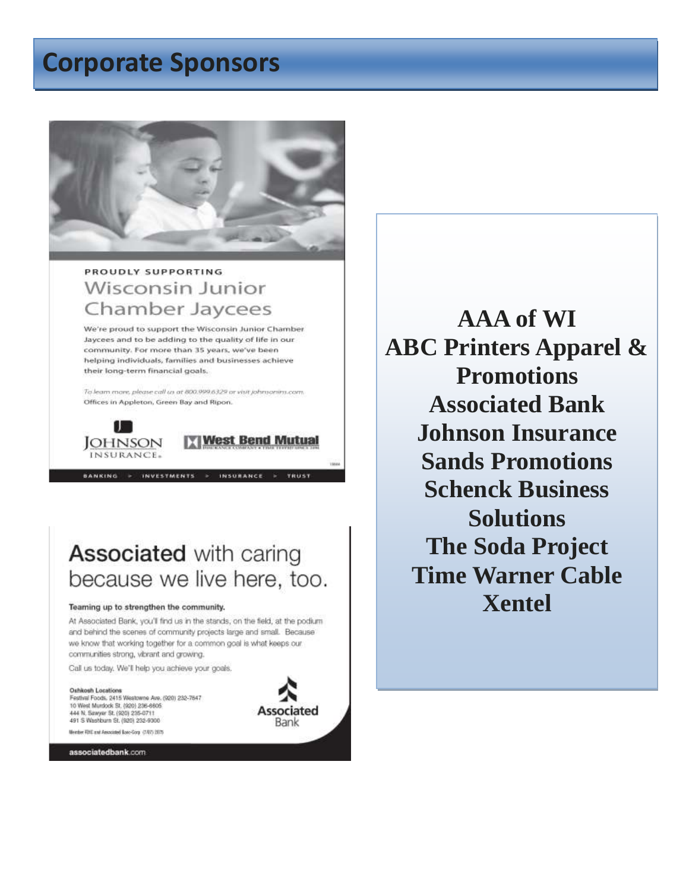## **Corporate Sponsors**



### PROUDLY SUPPORTING **Wisconsin Junior** Chamber Jaycees

We're proud to support the Wisconsin Junior Chamber Jaycees and to be adding to the quality of life in our community. For more than 35 years, we've been helping individuals, families and businesses achieve their long-term financial goals.

To learn more, please call us at 800.999.6329 or visit johnsonins.com. Offices in Appleton, Green Bay and Ripon.

BANKING > INVESTMENTS > INSURANCE



West Bend Mutual

**TRUST** 

**Associated with caring** because we live here, too.

#### Teaming up to strengthen the community.

At Associated Bank, you'll find us in the stands, on the field, at the podium and behind the scenes of community projects large and small. Because we know that working together for a common goal is what keeps our communities strong, vibrant and growing.

Call us today. We'll help you achieve your goals.

Oshkosh Locations Festival Foods, 2415 Westowne Ave. (920) 232-7547 10 West Murdock St. (920) 236-6605 444 N. Sawyer St. (920) 235-0711 491 S Washburn St. (920) 232-9300 Member FOID and Associated Rose-Gora (2/07) 2075



associatedbank.com

**AAA of WI ABC Printers Apparel & Promotions Associated Bank Johnson Insurance Sands Promotions Schenck Business Solutions The Soda Project Time Warner Cable Xentel**